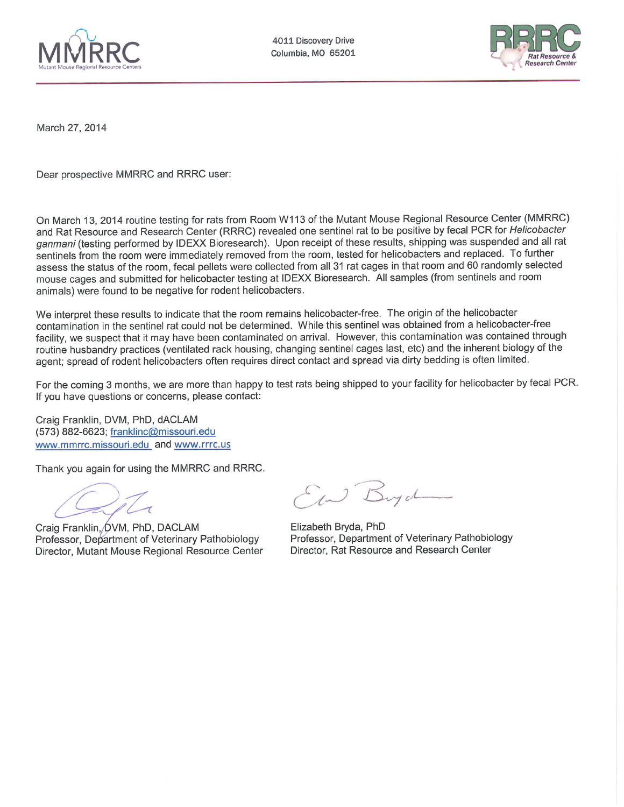



March 27, 2014

Dear prospective MMRRC and RRRC user:

On March 13, 2014 routine testing for rats from Room W113 of the Mutant Mouse Regional Resource Center (MMRRC) and Rat Resource and Research Center (RRRC) revealed one sentinel rat to be positive by fecal PCR for Helicobacter ganmani (testing performed by IDEXX Bioresearch). Upon receipt of these results, shipping was suspended and all rat sentinels from the room were immediately removed from the room, tested for helicobacters and replaced. To further assess the status of the room, fecal pellets were collected from all 31 rat cages in that room and 60 randomly selected mouse cages and submitted for helicobacter testing at IDEXX Bioresearch. All samples (from sentinels and room animals) were found to be negative for rodent helicobacters.

We interpret these results to indicate that the room remains helicobacter-free. The origin of the helicobacter contamination in the sentinel rat could not be determined. While this sentinel was obtained from a helicobacter-free facility, we suspect that it may have been contaminated on arrival. However, this contamination was contained through routine husbandry practices (ventilated rack housing, changing sentinel cages last, etc) and the inherent biology of the agent; spread of rodent helicobacters often requires direct contact and spread via dirty bedding is often limited.

For the coming 3 months, we are more than happy to test rats being shipped to your facility for helicobacter by fecal PCR. If you have questions or concerns, please contact:

Craig Franklin, DVM, PhD, dACLAM (573) 882-6623; franklinc@missouri.edu www.mmrrc.missouri.edu and www.rrrc.us

Thank you again for using the MMRRC and RRRC.

Craig Franklin, DVM, PhD, DACLAM Professor, Department of Veterinary Pathobiology Director, Mutant Mouse Regional Resource Center

E W Buych

Elizabeth Bryda, PhD Professor, Department of Veterinary Pathobiology Director, Rat Resource and Research Center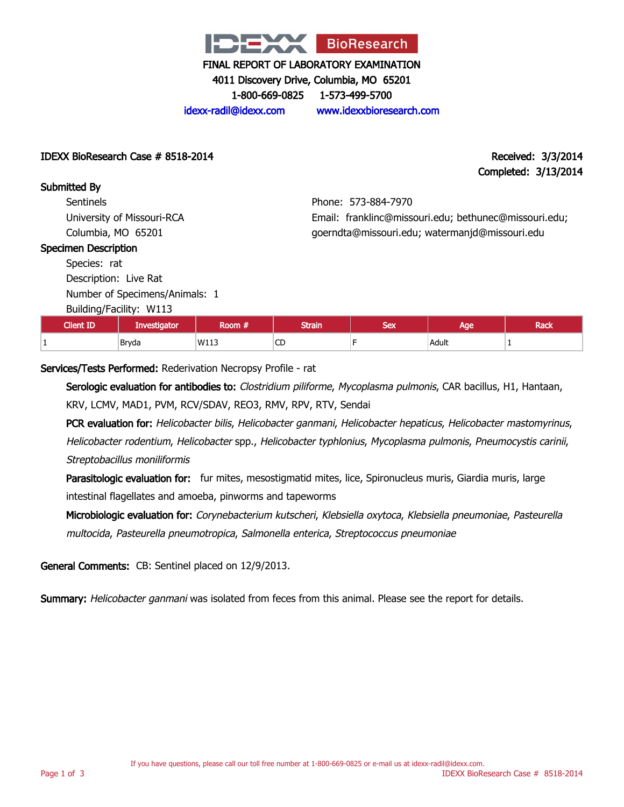

4011 Discovery Drive, Columbia, MO 65201

1-800-669-0825 1-573-499-5700

idexx-radil@idexx.com www.idexxbioresearch.com

## IDEXX BioResearch Case # 8518-2014 Received: 3/3/2014

# Completed: 3/13/2014

Submitted By **Sentinels** 

University of Missouri-RCA Columbia, MO 65201

# Phone: 573-884-7970 Email: franklinc@missouri.edu; bethunec@missouri.edu; goerndta@missouri.edu; watermanjd@missouri.edu

#### Specimen Description

Species: rat Description: Live Rat

Number of Specimens/Animals: 1

Building/Facility: W113

| <b>Client ID</b> | Investigator | Room #. | <b>Strain</b>         | Cav<br>ᇰᆮᆺ | Age   | Rack |
|------------------|--------------|---------|-----------------------|------------|-------|------|
|                  | Bryda        | W113    | $\sim$<br>◡<br>$\sim$ |            | Adult |      |

# Services/Tests Performed: Rederivation Necropsy Profile - rat

Serologic evaluation for antibodies to: Clostridium piliforme, Mycoplasma pulmonis, CAR bacillus, H1, Hantaan, KRV, LCMV, MAD1, PVM, RCV/SDAV, REO3, RMV, RPV, RTV, Sendai

PCR evaluation for: Helicobacter bilis, Helicobacter ganmani, Helicobacter hepaticus, Helicobacter mastomyrinus, Helicobacter rodentium, Helicobacter spp., Helicobacter typhlonius, Mycoplasma pulmonis, Pneumocystis carinii, Streptobacillus moniliformis

Parasitologic evaluation for: fur mites, mesostigmatid mites, lice, Spironucleus muris, Giardia muris, large intestinal flagellates and amoeba, pinworms and tapeworms

Microbiologic evaluation for: Corynebacterium kutscheri, Klebsiella oxytoca, Klebsiella pneumoniae, Pasteurella multocida, Pasteurella pneumotropica, Salmonella enterica, Streptococcus pneumoniae

General Comments: CB: Sentinel placed on 12/9/2013.

Summary: Helicobacter ganmani was isolated from feces from this animal. Please see the report for details.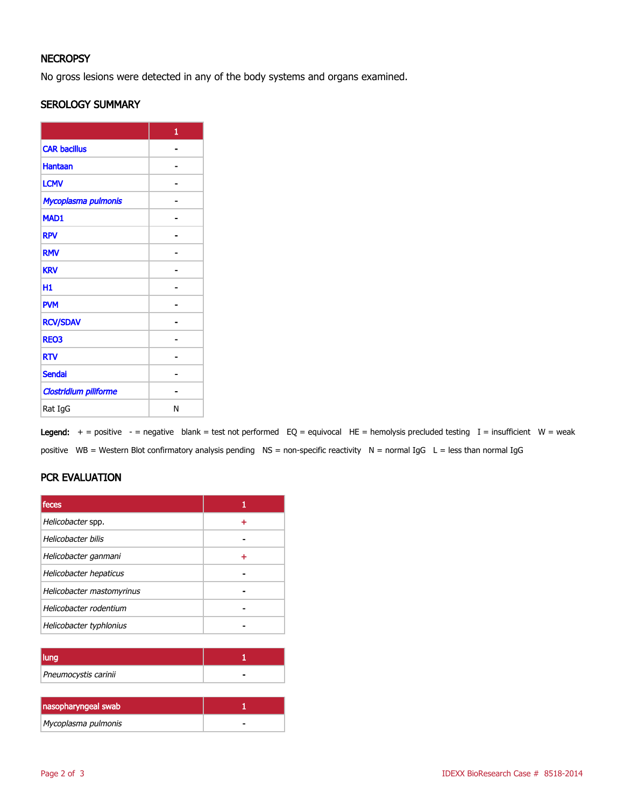# **NECROPSY**

No gross lesions were detected in any of the body systems and organs examined.

## SEROLOGY SUMMARY

|                       | 1 |
|-----------------------|---|
| <b>CAR bacillus</b>   |   |
| <b>Hantaan</b>        |   |
| <b>LCMV</b>           |   |
| Mycoplasma pulmonis   |   |
| MAD1                  |   |
| <b>RPV</b>            |   |
| <b>RMV</b>            |   |
| <b>KRV</b>            |   |
| H1                    |   |
| <b>PVM</b>            |   |
| <b>RCV/SDAV</b>       |   |
| <b>REO3</b>           |   |
| <b>RTV</b>            |   |
| <b>Sendai</b>         |   |
| Clostridium piliforme |   |
| Rat IgG               | N |

Legend:  $+$  = positive  $-$  = negative blank = test not performed EQ = equivocal HE = hemolysis precluded testing I = insufficient W = weak positive WB = Western Blot confirmatory analysis pending NS = non-specific reactivity N = normal IgG L = less than normal IgG

# PCR EVALUATION

| feces                     |   |
|---------------------------|---|
| Helicobacter spp.         | ÷ |
| Helicobacter bilis        |   |
| Helicobacter ganmani      |   |
| Helicobacter hepaticus    |   |
| Helicobacter mastomyrinus |   |
| Helicobacter rodentium    |   |
| Helicobacter typhlonius   |   |

| Pneumocystis carinii |  |
|----------------------|--|

| nasopharyngeal swab |  |
|---------------------|--|
| Mycoplasma pulmonis |  |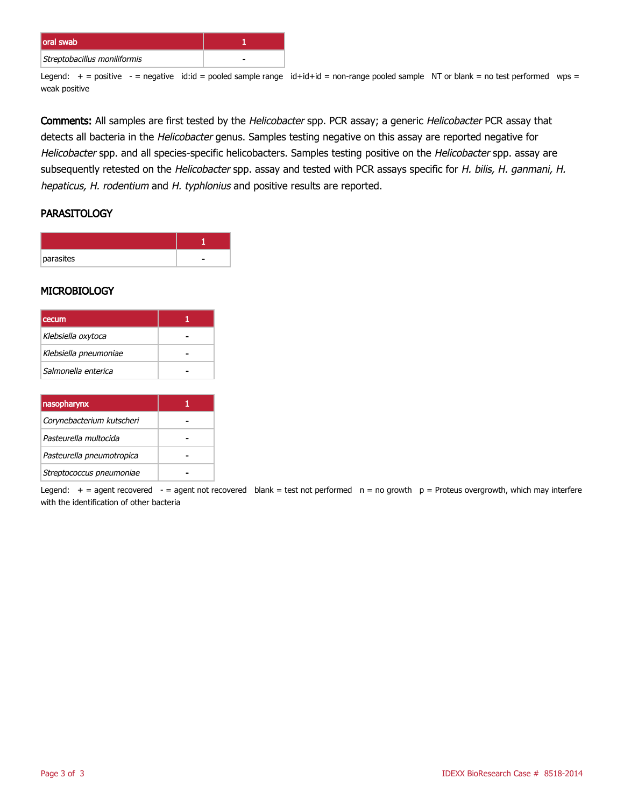| oral swab                    |  |
|------------------------------|--|
| Streptobacillus moniliformis |  |

Legend:  $+$  = positive  $-$  = negative id:id = pooled sample range id+id+id = non-range pooled sample NT or blank = no test performed wps = weak positive

Comments: All samples are first tested by the Helicobacter spp. PCR assay; a generic Helicobacter PCR assay that detects all bacteria in the Helicobacter genus. Samples testing negative on this assay are reported negative for Helicobacter spp. and all species-specific helicobacters. Samples testing positive on the Helicobacter spp. assay are subsequently retested on the Helicobacter spp. assay and tested with PCR assays specific for H. bilis, H. ganmani, H. hepaticus, H. rodentium and H. typhlonius and positive results are reported.

## **PARASITOLOGY**

| parasites |  |
|-----------|--|

#### **MICROBIOLOGY**

| <b>I</b> cecum        |  |
|-----------------------|--|
| Klebsiella oxytoca    |  |
| Klebsiella pneumoniae |  |
| Salmonella enterica   |  |

| nasopharynx               |  |
|---------------------------|--|
| Corynebacterium kutscheri |  |
| Pasteurella multocida     |  |
| Pasteurella pneumotropica |  |
| Streptococcus pneumoniae  |  |

Legend:  $+$  = agent recovered - = agent not recovered blank = test not performed  $n = no$  growth  $p =$  Proteus overgrowth, which may interfere with the identification of other bacteria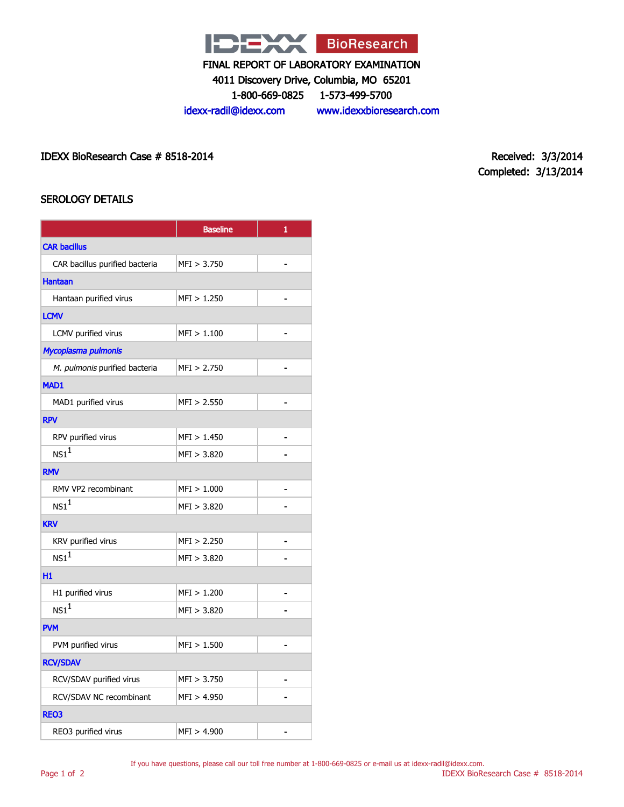

4011 Discovery Drive, Columbia, MO 65201

1-800-669-0825 1-573-499-5700

idexx-radil@idexx.com www.idexxbioresearch.com

IDEXX BioResearch Case # 8518-2014 Received: 3/3/2014

Completed: 3/13/2014

## SEROLOGY DETAILS

|                                | <b>Baseline</b> | 1              |  |  |  |
|--------------------------------|-----------------|----------------|--|--|--|
| <b>CAR bacillus</b>            |                 |                |  |  |  |
| CAR bacillus purified bacteria | MFI > 3.750     |                |  |  |  |
| <b>Hantaan</b>                 |                 |                |  |  |  |
| Hantaan purified virus         | MFI > 1.250     |                |  |  |  |
| <b>LCMV</b>                    |                 |                |  |  |  |
| LCMV purified virus            | MFI > 1.100     |                |  |  |  |
| Mycoplasma pulmonis            |                 |                |  |  |  |
| M. pulmonis purified bacteria  | MFI > 2.750     |                |  |  |  |
| <b>MAD1</b>                    |                 |                |  |  |  |
| MAD1 purified virus            | MFI > 2.550     |                |  |  |  |
| <b>RPV</b>                     |                 |                |  |  |  |
| RPV purified virus             | MFI > 1.450     |                |  |  |  |
| NS1 <sup>1</sup>               | MFI > 3.820     |                |  |  |  |
| <b>RMV</b>                     |                 |                |  |  |  |
| RMV VP2 recombinant            | MFI > 1.000     |                |  |  |  |
| NS1 <sup>1</sup>               | MFI > 3.820     |                |  |  |  |
| <b>KRV</b>                     |                 |                |  |  |  |
| KRV purified virus             | MFI > 2.250     | $\blacksquare$ |  |  |  |
| NS1 <sup>1</sup>               | MFI > 3.820     |                |  |  |  |
| H1                             |                 |                |  |  |  |
| H1 purified virus              | MFI > 1.200     |                |  |  |  |
| $NS1^1$                        | MFI > 3.820     |                |  |  |  |
| <b>PVM</b>                     |                 |                |  |  |  |
| PVM purified virus             | MFI > 1.500     |                |  |  |  |
| <b>RCV/SDAV</b>                |                 |                |  |  |  |
| RCV/SDAV purified virus        | MFI > 3.750     |                |  |  |  |
| RCV/SDAV NC recombinant        | MFI > 4.950     |                |  |  |  |
| REO3                           |                 |                |  |  |  |
| REO3 purified virus            | MFI > 4.900     |                |  |  |  |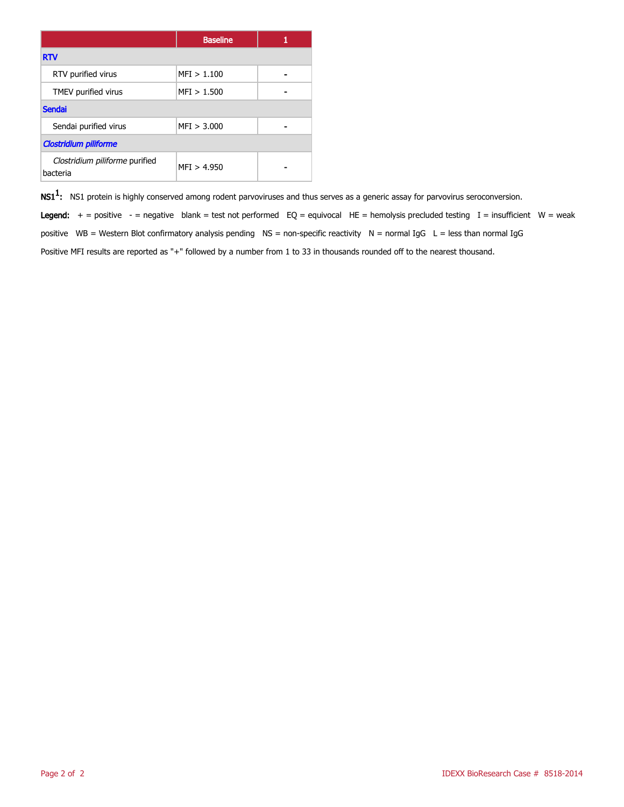|                                            | <b>Baseline</b> |  |  |  |
|--------------------------------------------|-----------------|--|--|--|
| <b>RTV</b>                                 |                 |  |  |  |
| RTV purified virus                         | MFI > 1.100     |  |  |  |
| TMEV purified virus                        | MFI > 1.500     |  |  |  |
| <b>Sendai</b>                              |                 |  |  |  |
| Sendai purified virus                      | MFI > 3.000     |  |  |  |
| <b>Clostridium piliforme</b>               |                 |  |  |  |
| Clostridium piliforme purified<br>bacteria | MFI > 4.950     |  |  |  |

 $\mathsf{NS1^1}\text{:}$  NS1 protein is highly conserved among rodent parvoviruses and thus serves as a generic assay for parvovirus seroconversion.

Legend:  $+$  = positive - = negative blank = test not performed EQ = equivocal HE = hemolysis precluded testing I = insufficient W = weak positive WB = Western Blot confirmatory analysis pending  $NS =$  non-specific reactivity  $N =$  normal IgG  $L =$  less than normal IgG Positive MFI results are reported as "+" followed by a number from 1 to 33 in thousands rounded off to the nearest thousand.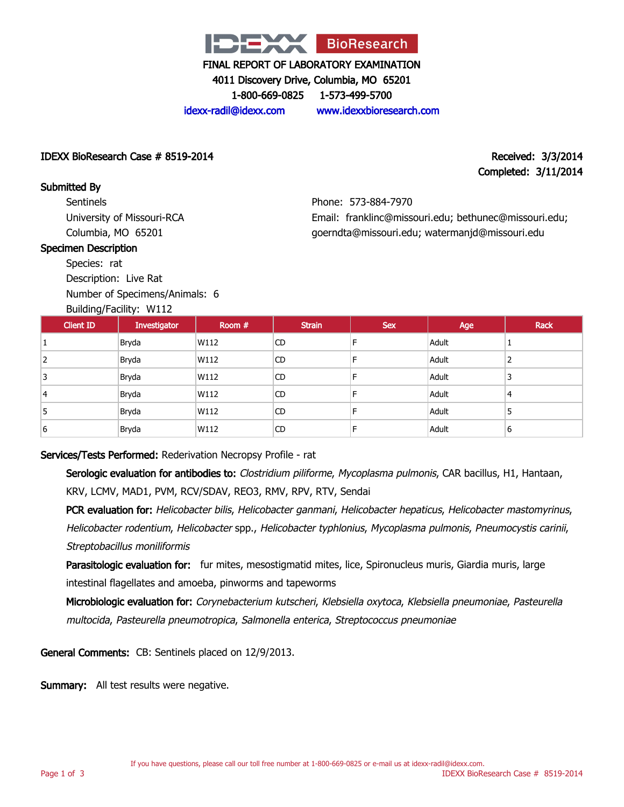

4011 Discovery Drive, Columbia, MO 65201

1-800-669-0825 1-573-499-5700

idexx-radil@idexx.com www.idexxbioresearch.com

## IDEXX BioResearch Case # 8519-2014 Received: 3/3/2014

# Completed: 3/11/2014

IDEXX BioResearch Case # 8519-2014

**Sentinels** University of Missouri-RCA Columbia, MO 65201

## Specimen Description

Submitted By

Species: rat

Description: Live Rat Number of Specimens/Animals: 6

## Building/Facility: W112

Phone: 573-884-7970 Email: franklinc@missouri.edu; bethunec@missouri.edu; goerndta@missouri.edu; watermanjd@missouri.edu

| Dununiyi uchiyi willi |              |        |               |            |       |      |
|-----------------------|--------------|--------|---------------|------------|-------|------|
| <b>Client ID</b>      | Investigator | Room # | <b>Strain</b> | <b>Sex</b> | Age   | Rack |
|                       | Bryda        | W112   | <b>CD</b>     |            | Adult |      |
| 2                     | Bryda        | W112   | CD            | F          | Adult |      |
| 3                     | Bryda        | W112   | <b>CD</b>     | F          | Adult | 3    |
| 4                     | Bryda        | W112   | <b>CD</b>     | E          | Adult | 4    |
| 5                     | Bryda        | W112   | <b>CD</b>     | E          | Adult | 5    |
| 6                     | Bryda        | W112   | CD            | F          | Adult | 6    |

# Services/Tests Performed: Rederivation Necropsy Profile - rat

Serologic evaluation for antibodies to: Clostridium piliforme, Mycoplasma pulmonis, CAR bacillus, H1, Hantaan, KRV, LCMV, MAD1, PVM, RCV/SDAV, REO3, RMV, RPV, RTV, Sendai

PCR evaluation for: Helicobacter bilis, Helicobacter ganmani, Helicobacter hepaticus, Helicobacter mastomyrinus, Helicobacter rodentium, Helicobacter spp., Helicobacter typhlonius, Mycoplasma pulmonis, Pneumocystis carinii, Streptobacillus moniliformis

Parasitologic evaluation for: fur mites, mesostigmatid mites, lice, Spironucleus muris, Giardia muris, large intestinal flagellates and amoeba, pinworms and tapeworms

Microbiologic evaluation for: Corynebacterium kutscheri, Klebsiella oxytoca, Klebsiella pneumoniae, Pasteurella multocida, Pasteurella pneumotropica, Salmonella enterica, Streptococcus pneumoniae

General Comments: CB: Sentinels placed on 12/9/2013.

Summary: All test results were negative.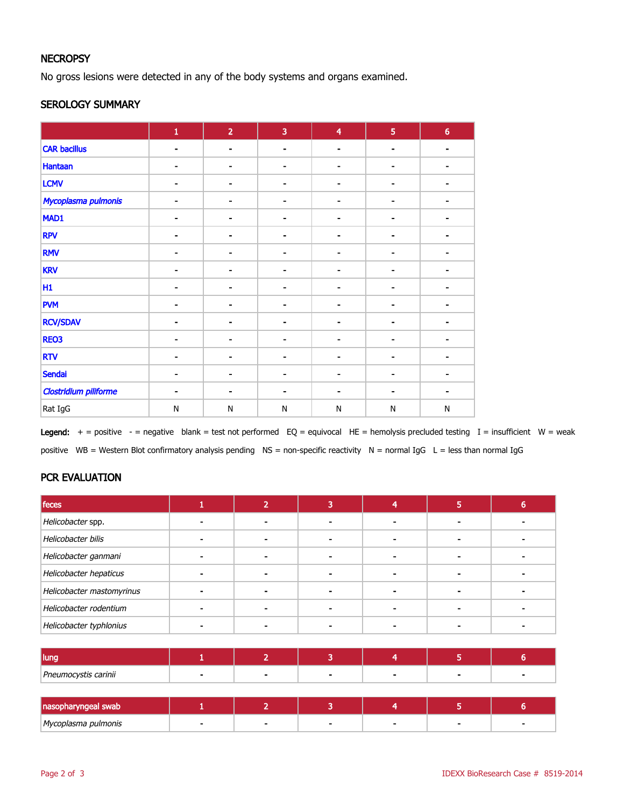# **NECROPSY**

No gross lesions were detected in any of the body systems and organs examined.

## SEROLOGY SUMMARY

|                              | $\mathbf 1$    | $\overline{2}$           | $\overline{3}$ | $\overline{\mathbf{4}}$ | $\overline{5}$           | $6\phantom{a}$ |
|------------------------------|----------------|--------------------------|----------------|-------------------------|--------------------------|----------------|
| <b>CAR bacillus</b>          | $\blacksquare$ | $\blacksquare$           | $\blacksquare$ | ۰                       | $\blacksquare$           |                |
| <b>Hantaan</b>               | ۰              | $\overline{\phantom{a}}$ | -              | $\blacksquare$          | $\blacksquare$           |                |
| <b>LCMV</b>                  | $\blacksquare$ | $\blacksquare$           |                | ۰                       | $\blacksquare$           |                |
| Mycoplasma pulmonis          | ۰              | ۰                        | $\blacksquare$ | $\blacksquare$          | ٠                        |                |
| MAD1                         |                | $\overline{a}$           |                |                         | $\blacksquare$           |                |
| <b>RPV</b>                   | $\blacksquare$ | $\blacksquare$           |                | ٠                       | $\blacksquare$           |                |
| <b>RMV</b>                   | $\blacksquare$ | $\blacksquare$           |                | $\blacksquare$          | $\blacksquare$           |                |
| <b>KRV</b>                   |                | $\overline{a}$           |                |                         | ٠                        |                |
| H <sub>1</sub>               | Ξ.             | $\blacksquare$           |                | $\blacksquare$          | $\blacksquare$           |                |
| <b>PVM</b>                   |                |                          |                |                         | $\blacksquare$           |                |
| <b>RCV/SDAV</b>              | ۰              | $\overline{\phantom{a}}$ |                | ٠                       | $\overline{\phantom{a}}$ |                |
| REO3                         | $\blacksquare$ | $\blacksquare$           |                | $\blacksquare$          | $\blacksquare$           |                |
| <b>RTV</b>                   | $\blacksquare$ |                          |                |                         | $\blacksquare$           |                |
| <b>Sendai</b>                | ۰              | $\qquad \qquad$          |                | $\blacksquare$          | $\overline{\phantom{a}}$ |                |
| <b>Clostridium piliforme</b> | $\blacksquare$ | $\blacksquare$           |                | ۰                       | -                        |                |
| Rat IgG                      | ${\sf N}$      | ${\sf N}$                | N              | N                       | ${\sf N}$                | ${\sf N}$      |

Legend:  $+$  = positive - = negative blank = test not performed EQ = equivocal HE = hemolysis precluded testing I = insufficient W = weak positive WB = Western Blot confirmatory analysis pending NS = non-specific reactivity N = normal IgG L = less than normal IgG

# PCR EVALUATION

| feces                     |  |  |  |
|---------------------------|--|--|--|
| Helicobacter spp.         |  |  |  |
| Helicobacter bilis        |  |  |  |
| Helicobacter ganmani      |  |  |  |
| Helicobacter hepaticus    |  |  |  |
| Helicobacter mastomyrinus |  |  |  |
| Helicobacter rodentium    |  |  |  |
| Helicobacter typhlonius   |  |  |  |

| l lunc               |  |  |  |
|----------------------|--|--|--|
| Pneumocystis carinii |  |  |  |

| nasopharyngeal swab |  |  |  |
|---------------------|--|--|--|
| Mycoplasma pulmonis |  |  |  |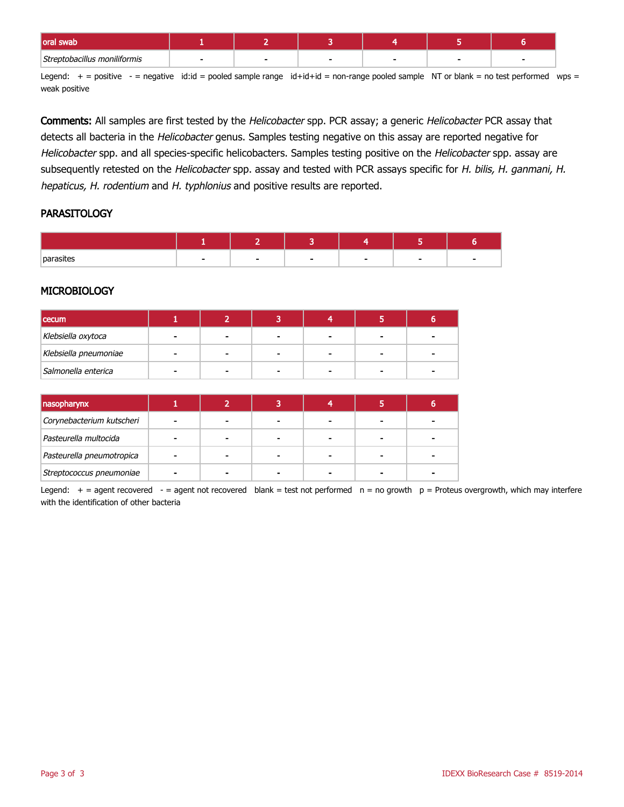| loral'<br>swav               |  |  |  |
|------------------------------|--|--|--|
| Streptobacillus moniliformis |  |  |  |

Legend:  $+$  = positive  $-$  = negative id:id = pooled sample range id+id+id = non-range pooled sample NT or blank = no test performed wps = weak positive

Comments: All samples are first tested by the Helicobacter spp. PCR assay; a generic Helicobacter PCR assay that detects all bacteria in the Helicobacter genus. Samples testing negative on this assay are reported negative for Helicobacter spp. and all species-specific helicobacters. Samples testing positive on the Helicobacter spp. assay are subsequently retested on the Helicobacter spp. assay and tested with PCR assays specific for H. bilis, H. ganmani, H. hepaticus, H. rodentium and H. typhlonius and positive results are reported.

## **PARASITOLOGY**

| parasites |  | - |  |
|-----------|--|---|--|

## **MICROBIOLOGY**

| <b>cecum</b>          |  |  |  |
|-----------------------|--|--|--|
| Klebsiella oxytoca    |  |  |  |
| Klebsiella pneumoniae |  |  |  |
| Salmonella enterica   |  |  |  |

| nasopharynx               |  |  |  |
|---------------------------|--|--|--|
| Corynebacterium kutscheri |  |  |  |
| Pasteurella multocida     |  |  |  |
| Pasteurella pneumotropica |  |  |  |
| Streptococcus pneumoniae  |  |  |  |

Legend:  $+$  = agent recovered - = agent not recovered blank = test not performed  $n = no$  growth  $p =$  Proteus overgrowth, which may interfere with the identification of other bacteria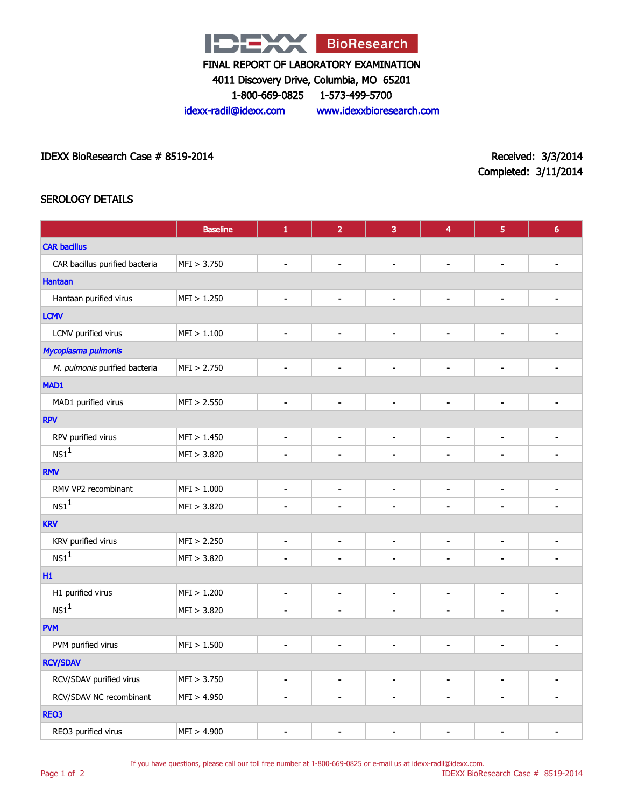

4011 Discovery Drive, Columbia, MO 65201

1-800-669-0825 1-573-499-5700

idexx-radil@idexx.com www.idexxbioresearch.com

IDEXX BioResearch Case # 8519-2014 Received: 3/3/2014

Completed: 3/11/2014

# SEROLOGY DETAILS

|                                | <b>Baseline</b> | $\mathbf 1$                  | $\overline{2}$               | 3              | 4                            | 5                        | $6\phantom{a}$ |
|--------------------------------|-----------------|------------------------------|------------------------------|----------------|------------------------------|--------------------------|----------------|
| <b>CAR bacillus</b>            |                 |                              |                              |                |                              |                          |                |
| CAR bacillus purified bacteria | MFI > 3.750     | $\blacksquare$               | $\overline{\phantom{0}}$     | $\blacksquare$ | $\qquad \qquad \blacksquare$ | $\overline{\phantom{a}}$ |                |
| <b>Hantaan</b>                 |                 |                              |                              |                |                              |                          |                |
| Hantaan purified virus         | MFI > 1.250     | $\blacksquare$               | $\blacksquare$               | $\blacksquare$ | $\blacksquare$               | $\blacksquare$           |                |
| <b>LCMV</b>                    |                 |                              |                              |                |                              |                          |                |
| LCMV purified virus            | MFI > 1.100     | $\qquad \qquad \blacksquare$ | $\blacksquare$               | $\blacksquare$ | $\blacksquare$               | $\overline{\phantom{a}}$ |                |
| Mycoplasma pulmonis            |                 |                              |                              |                |                              |                          |                |
| M. pulmonis purified bacteria  | MFI > 2.750     | $\qquad \qquad \blacksquare$ | $\overline{\phantom{0}}$     | $\blacksquare$ | $\qquad \qquad \blacksquare$ | $\blacksquare$           |                |
| MAD1                           |                 |                              |                              |                |                              |                          |                |
| MAD1 purified virus            | MFI > 2.550     | $\blacksquare$               | $\blacksquare$               | $\blacksquare$ | ۰                            | $\blacksquare$           |                |
| <b>RPV</b>                     |                 |                              |                              |                |                              |                          |                |
| RPV purified virus             | MFI > 1.450     | $\blacksquare$               | $\blacksquare$               | $\blacksquare$ | $\blacksquare$               | $\blacksquare$           |                |
| NS1 <sup>1</sup>               | MFI > 3.820     | $\blacksquare$               | $\blacksquare$               | $\blacksquare$ | ÷                            | $\blacksquare$           |                |
| <b>RMV</b>                     |                 |                              |                              |                |                              |                          |                |
| RMV VP2 recombinant            | MFI > 1.000     | $\blacksquare$               | $\blacksquare$               | $\blacksquare$ | $\blacksquare$               | $\blacksquare$           | -              |
| $NS1^1$                        | MFI > 3.820     |                              |                              |                |                              |                          |                |
| <b>KRV</b>                     |                 |                              |                              |                |                              |                          |                |
| KRV purified virus             | MFI > 2.250     | $\blacksquare$               | $\blacksquare$               | $\blacksquare$ | $\blacksquare$               | $\blacksquare$           |                |
| $\text{NS1}^1$                 | MFI > 3.820     | $\blacksquare$               | ä,                           | $\blacksquare$ | ÷                            | $\blacksquare$           |                |
| H1                             |                 |                              |                              |                |                              |                          |                |
| H1 purified virus              | MFI > 1.200     | $\blacksquare$               | $\blacksquare$               | $\blacksquare$ | $\blacksquare$               | $\blacksquare$           |                |
| $\text{NS1}^1$                 | MFI > 3.820     | $\blacksquare$               | $\blacksquare$               | $\blacksquare$ | $\blacksquare$               | $\blacksquare$           |                |
| <b>PVM</b>                     |                 |                              |                              |                |                              |                          |                |
| PVM purified virus             | MFI > 1.500     | $\blacksquare$               | $\blacksquare$               | $\blacksquare$ | $\blacksquare$               | $\blacksquare$           |                |
| <b>RCV/SDAV</b>                |                 |                              |                              |                |                              |                          |                |
| RCV/SDAV purified virus        | MFI > 3.750     | $\overline{\phantom{a}}$     | $\qquad \qquad \blacksquare$ | $\blacksquare$ | $\blacksquare$               | $\overline{\phantom{a}}$ |                |
| RCV/SDAV NC recombinant        | MFI > 4.950     |                              | $\blacksquare$               | $\blacksquare$ | $\blacksquare$               | $\blacksquare$           |                |
| REO3                           |                 |                              |                              |                |                              |                          |                |
| REO3 purified virus            | MFI > 4.900     |                              |                              |                |                              |                          |                |

If you have questions, please call our toll free number at 1-800-669-0825 or e-mail us at idexx-radil@idexx.com.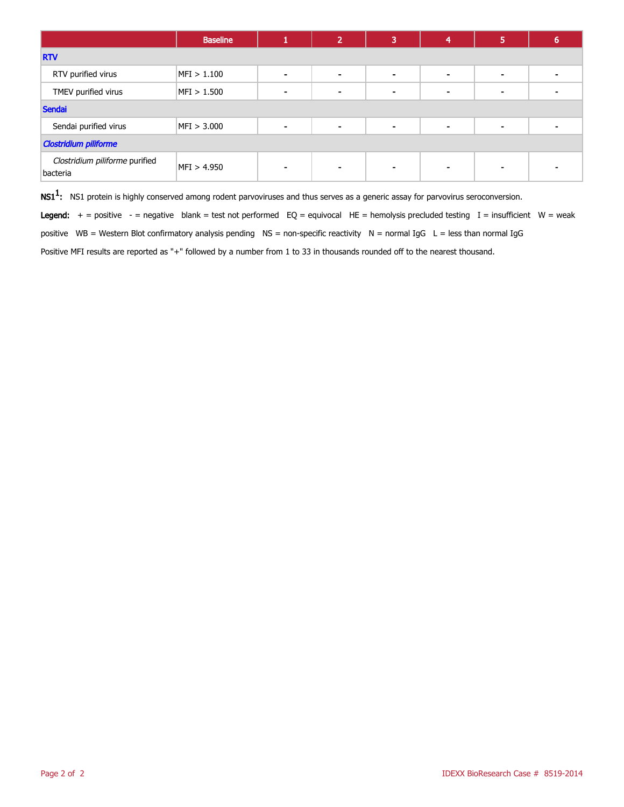|                                            | <b>Baseline</b> |                          | $\overline{2}$ | 3              | 4 | 5                        | b |
|--------------------------------------------|-----------------|--------------------------|----------------|----------------|---|--------------------------|---|
| <b>RTV</b>                                 |                 |                          |                |                |   |                          |   |
| RTV purified virus                         | MFI > 1.100     |                          | $\,$           | $\,$ $\,$      |   | ۰                        |   |
| TMEV purified virus                        | MFI > 1.500     |                          | $\blacksquare$ | $\blacksquare$ |   | $\overline{\phantom{0}}$ |   |
| <b>Sendai</b>                              |                 |                          |                |                |   |                          |   |
| Sendai purified virus                      | MFI > 3.000     | $\overline{\phantom{a}}$ | $\blacksquare$ | $\,$ $\,$      |   | ۰                        |   |
| <b>Clostridium piliforme</b>               |                 |                          |                |                |   |                          |   |
| Clostridium piliforme purified<br>bacteria | MFI > 4.950     |                          | $\sim$         |                |   |                          |   |

 $\mathsf{NS1^1}\text{:}$  NS1 protein is highly conserved among rodent parvoviruses and thus serves as a generic assay for parvovirus seroconversion.

Legend:  $+$  = positive  $-$  = negative blank = test not performed EQ = equivocal HE = hemolysis precluded testing I = insufficient W = weak

positive WB = Western Blot confirmatory analysis pending NS = non-specific reactivity N = normal IgG L = less than normal IgG

Positive MFI results are reported as "+" followed by a number from 1 to 33 in thousands rounded off to the nearest thousand.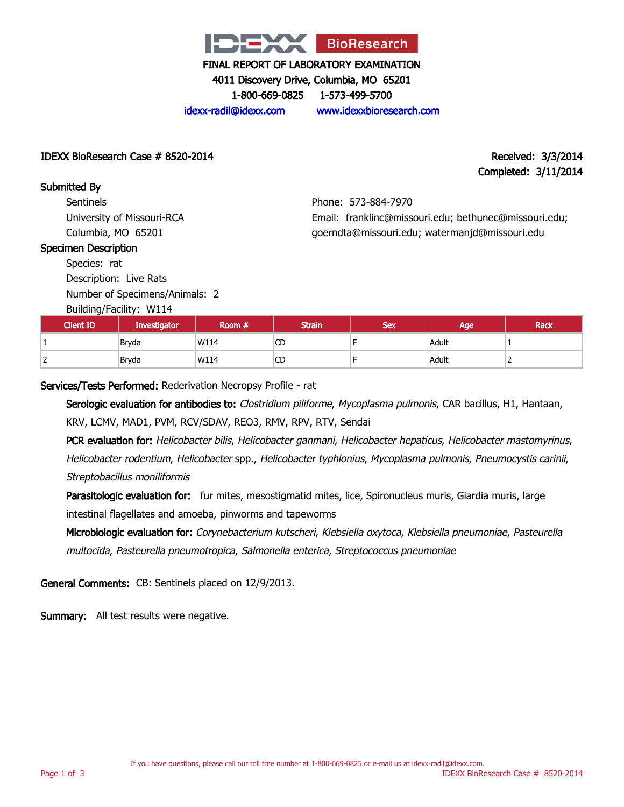

4011 Discovery Drive, Columbia, MO 65201

1-800-669-0825 1-573-499-5700

idexx-radil@idexx.com www.idexxbioresearch.com

## IDEXX BioResearch Case # 8520-2014 Received: 3/3/2014

# Completed: 3/11/2014

Submitted By **Sentinels** University of Missouri-RCA Columbia, MO 65201

# Phone: 573-884-7970 Email: franklinc@missouri.edu; bethunec@missouri.edu; goerndta@missouri.edu; watermanjd@missouri.edu

## Specimen Description

Species: rat Description: Live Rats

Number of Specimens/Animals: 2

## Building/Facility: W114

| Client ID <sup>1</sup> | Investigator | Room # | <b>Strain</b> | <b>Sex</b> | Age   | <b>Rack</b> |
|------------------------|--------------|--------|---------------|------------|-------|-------------|
|                        | Bryda        | W114   | <b>CD</b>     |            | Adult |             |
| <u>_</u>               | Bryda        | W114   | <b>CD</b>     |            | Adult | -           |

Services/Tests Performed: Rederivation Necropsy Profile - rat

Serologic evaluation for antibodies to: Clostridium piliforme, Mycoplasma pulmonis, CAR bacillus, H1, Hantaan, KRV, LCMV, MAD1, PVM, RCV/SDAV, REO3, RMV, RPV, RTV, Sendai

PCR evaluation for: Helicobacter bilis, Helicobacter ganmani, Helicobacter hepaticus, Helicobacter mastomyrinus, Helicobacter rodentium, Helicobacter spp., Helicobacter typhlonius, Mycoplasma pulmonis, Pneumocystis carinii, Streptobacillus moniliformis

Parasitologic evaluation for: fur mites, mesostigmatid mites, lice, Spironucleus muris, Giardia muris, large intestinal flagellates and amoeba, pinworms and tapeworms

Microbiologic evaluation for: Corynebacterium kutscheri, Klebsiella oxytoca, Klebsiella pneumoniae, Pasteurella multocida, Pasteurella pneumotropica, Salmonella enterica, Streptococcus pneumoniae

General Comments: CB: Sentinels placed on 12/9/2013.

Summary: All test results were negative.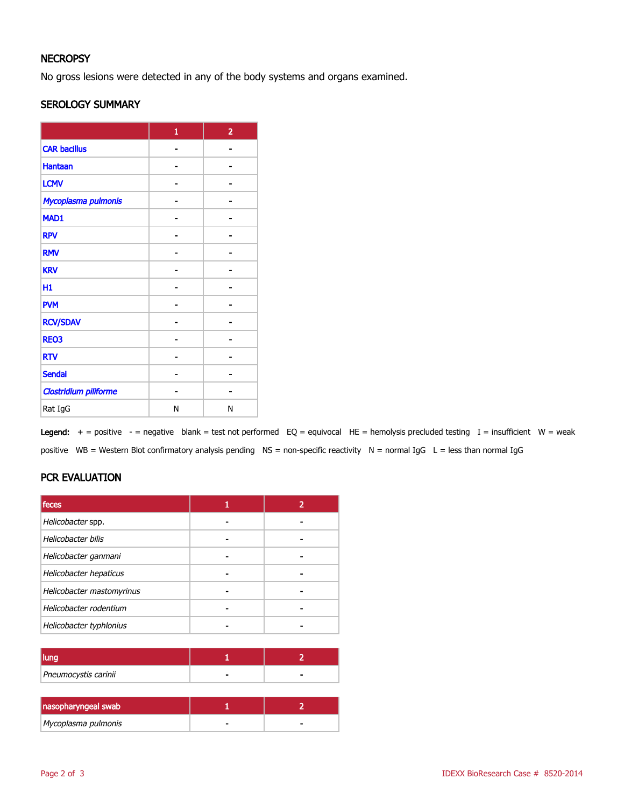# **NECROPSY**

No gross lesions were detected in any of the body systems and organs examined.

## SEROLOGY SUMMARY

|                              | $\mathbf{1}$ | $\overline{2}$ |
|------------------------------|--------------|----------------|
| <b>CAR bacillus</b>          |              |                |
| <b>Hantaan</b>               |              |                |
| <b>LCMV</b>                  |              |                |
| Mycoplasma pulmonis          |              |                |
| MAD1                         |              |                |
| <b>RPV</b>                   |              |                |
| <b>RMV</b>                   |              |                |
| <b>KRV</b>                   |              |                |
| H1                           |              |                |
| <b>PVM</b>                   |              |                |
| <b>RCV/SDAV</b>              |              |                |
| <b>REO3</b>                  |              |                |
| <b>RTV</b>                   |              |                |
| <b>Sendai</b>                |              |                |
| <b>Clostridium piliforme</b> |              |                |
| Rat IgG                      | Ν            | N              |

Legend:  $+$  = positive  $-$  = negative blank = test not performed EQ = equivocal HE = hemolysis precluded testing I = insufficient W = weak positive WB = Western Blot confirmatory analysis pending NS = non-specific reactivity N = normal IgG L = less than normal IgG

# PCR EVALUATION

| <b>feces</b>              |  |
|---------------------------|--|
| Helicobacter spp.         |  |
| Helicobacter bilis        |  |
| Helicobacter ganmani      |  |
| Helicobacter hepaticus    |  |
| Helicobacter mastomyrinus |  |
| Helicobacter rodentium    |  |
| Helicobacter typhlonius   |  |

| Pneumocystis carinii | - |
|----------------------|---|

| nasopharyngeal swab |   |
|---------------------|---|
| Mycoplasma pulmonis | - |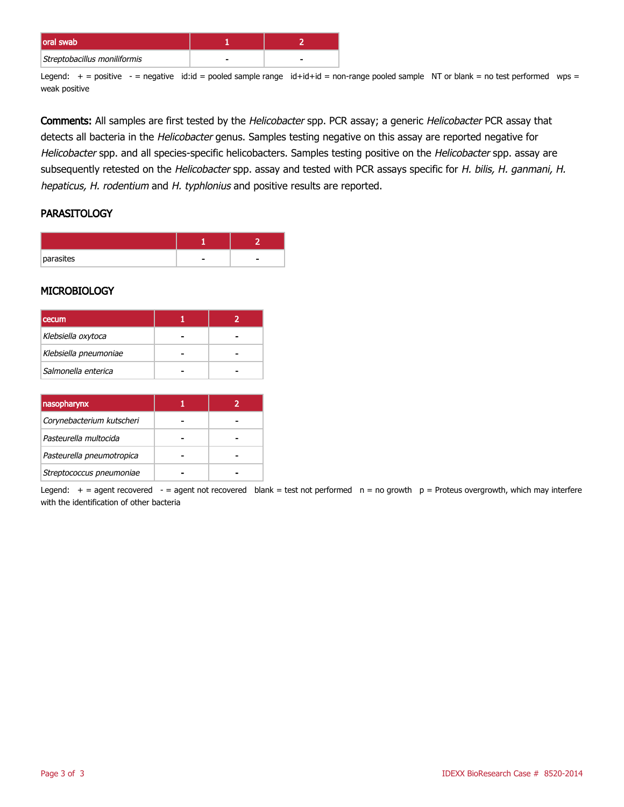| loral swab                   |  |
|------------------------------|--|
| Streptobacillus moniliformis |  |

Legend:  $+$  = positive  $-$  = negative id:id = pooled sample range id+id+id = non-range pooled sample NT or blank = no test performed wps = weak positive

Comments: All samples are first tested by the Helicobacter spp. PCR assay; a generic Helicobacter PCR assay that detects all bacteria in the Helicobacter genus. Samples testing negative on this assay are reported negative for Helicobacter spp. and all species-specific helicobacters. Samples testing positive on the Helicobacter spp. assay are subsequently retested on the Helicobacter spp. assay and tested with PCR assays specific for H. bilis, H. ganmani, H. hepaticus, H. rodentium and H. typhlonius and positive results are reported.

## **PARASITOLOGY**

| parasites |  |
|-----------|--|

#### **MICROBIOLOGY**

| <b>cecum</b>          |  |
|-----------------------|--|
| Klebsiella oxytoca    |  |
| Klebsiella pneumoniae |  |
| Salmonella enterica   |  |

| nasopharynx               |  |
|---------------------------|--|
| Corynebacterium kutscheri |  |
| Pasteurella multocida     |  |
| Pasteurella pneumotropica |  |
| Streptococcus pneumoniae  |  |

Legend:  $+$  = agent recovered - = agent not recovered blank = test not performed  $n = no$  growth  $p =$  Proteus overgrowth, which may interfere with the identification of other bacteria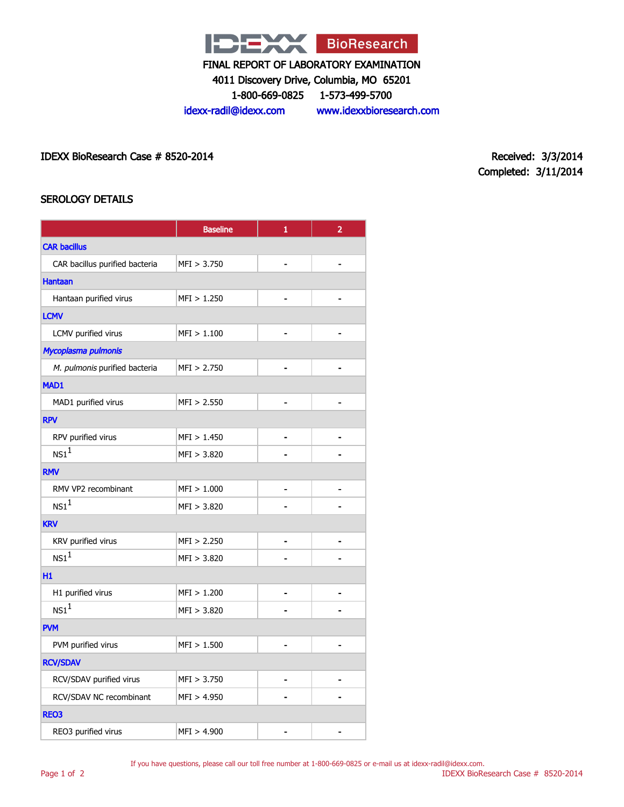

4011 Discovery Drive, Columbia, MO 65201

1-800-669-0825 1-573-499-5700

idexx-radil@idexx.com www.idexxbioresearch.com

IDEXX BioResearch Case # 8520-2014 Received: 3/3/2014

Completed: 3/11/2014

## SEROLOGY DETAILS

|                                | <b>Baseline</b> | $\mathbf{1}$   | $\overline{2}$ |  |
|--------------------------------|-----------------|----------------|----------------|--|
| <b>CAR bacillus</b>            |                 |                |                |  |
| CAR bacillus purified bacteria | MFI > 3.750     |                |                |  |
| <b>Hantaan</b>                 |                 |                |                |  |
| Hantaan purified virus         | MFI > 1.250     |                |                |  |
| <b>LCMV</b>                    |                 |                |                |  |
| LCMV purified virus            | MFI > 1.100     |                |                |  |
| Mycoplasma pulmonis            |                 |                |                |  |
| M. pulmonis purified bacteria  | MFI > 2.750     |                |                |  |
| MAD1                           |                 |                |                |  |
| MAD1 purified virus            | MFI > 2.550     |                |                |  |
| <b>RPV</b>                     |                 |                |                |  |
| RPV purified virus             | MFI > 1.450     |                |                |  |
| NS1 <sup>1</sup>               | MFI > 3.820     |                |                |  |
| <b>RMV</b>                     |                 |                |                |  |
| RMV VP2 recombinant            | MFI > 1.000     |                |                |  |
| $NS1^1$                        | MFI > 3.820     |                |                |  |
| <b>KRV</b>                     |                 |                |                |  |
| KRV purified virus             | MFI > 2.250     | $\blacksquare$ | $\blacksquare$ |  |
| NS1 <sup>1</sup>               | MFI > 3.820     |                |                |  |
| H1                             |                 |                |                |  |
| H1 purified virus              | MFI > 1.200     |                |                |  |
| NS1 <sup>1</sup>               | MFI > 3.820     |                |                |  |
| <b>PVM</b>                     |                 |                |                |  |
| PVM purified virus             | MFI > 1.500     |                |                |  |
| <b>RCV/SDAV</b>                |                 |                |                |  |
| RCV/SDAV purified virus        | MFI > 3.750     | $\blacksquare$ |                |  |
| RCV/SDAV NC recombinant        | MFI > 4.950     |                |                |  |
| REO3                           |                 |                |                |  |
| REO3 purified virus            | MFI > 4.900     |                |                |  |